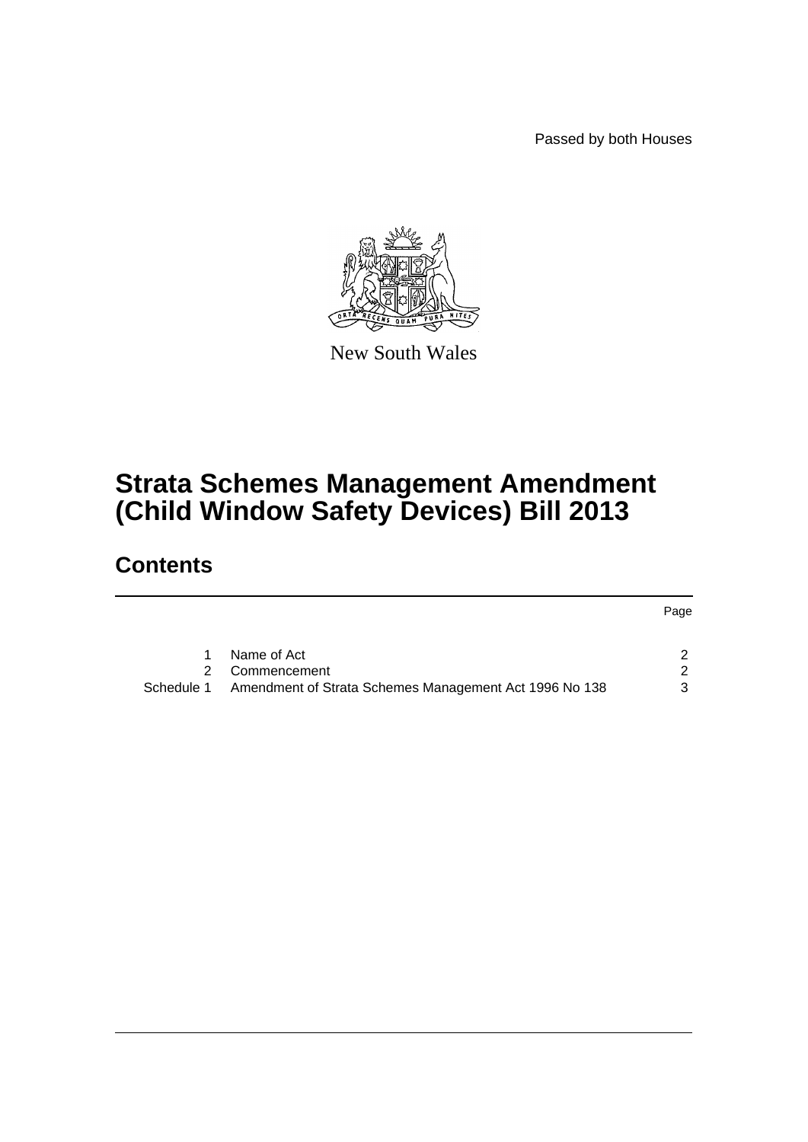Passed by both Houses

Page



New South Wales

# **Strata Schemes Management Amendment (Child Window Safety Devices) Bill 2013**

# **Contents**

|               |                                                        | <b>Page</b> |
|---------------|--------------------------------------------------------|-------------|
|               |                                                        |             |
|               | Name of Act                                            |             |
| $\mathcal{P}$ | Commencement                                           |             |
| Schedule 1    | Amendment of Strata Schemes Management Act 1996 No 138 | ર           |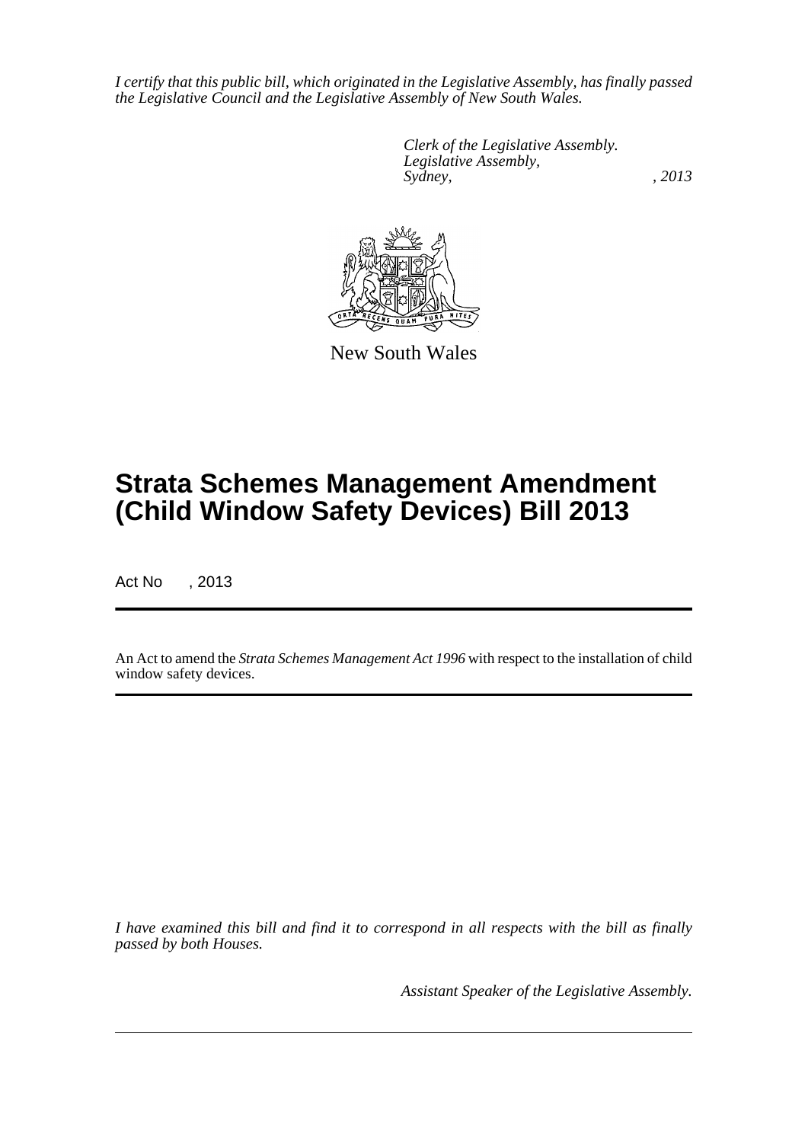*I certify that this public bill, which originated in the Legislative Assembly, has finally passed the Legislative Council and the Legislative Assembly of New South Wales.*

> *Clerk of the Legislative Assembly. Legislative Assembly, Sydney, , 2013*



New South Wales

# **Strata Schemes Management Amendment (Child Window Safety Devices) Bill 2013**

Act No , 2013

An Act to amend the *Strata Schemes Management Act 1996* with respect to the installation of child window safety devices.

*I have examined this bill and find it to correspond in all respects with the bill as finally passed by both Houses.*

*Assistant Speaker of the Legislative Assembly.*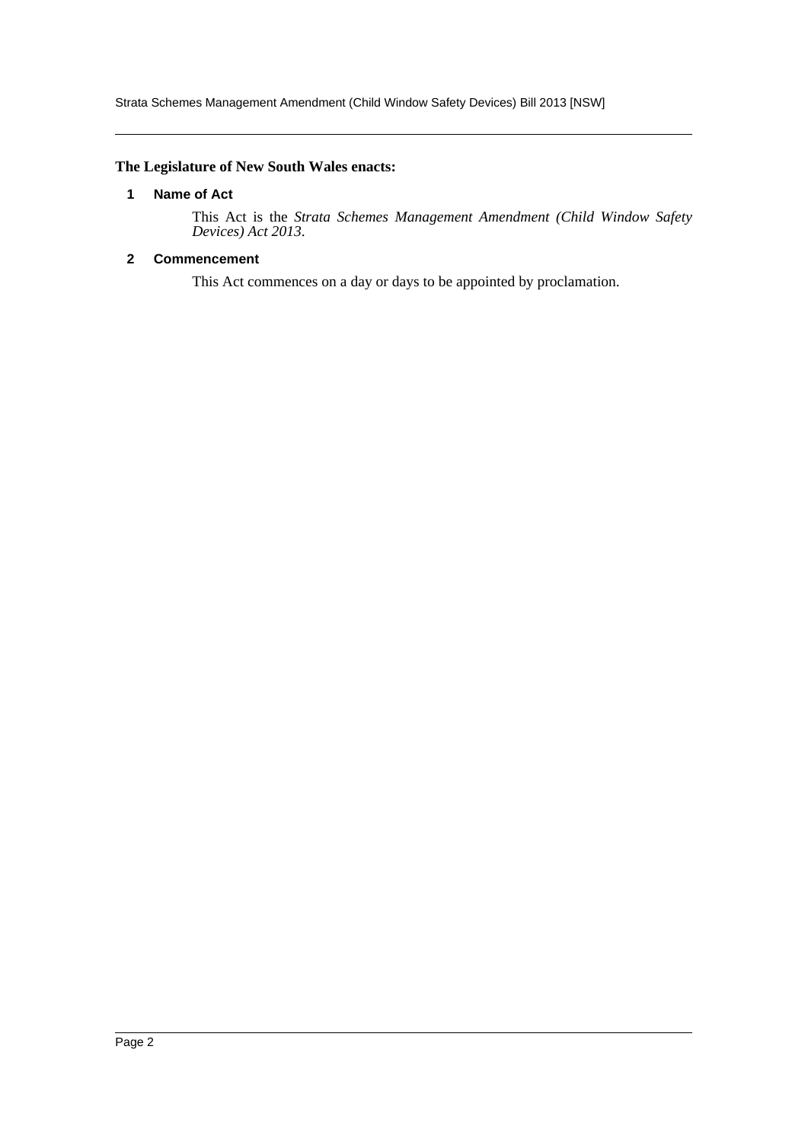Strata Schemes Management Amendment (Child Window Safety Devices) Bill 2013 [NSW]

### <span id="page-2-0"></span>**The Legislature of New South Wales enacts:**

#### **1 Name of Act**

This Act is the *Strata Schemes Management Amendment (Child Window Safety Devices) Act 2013*.

### <span id="page-2-1"></span>**2 Commencement**

This Act commences on a day or days to be appointed by proclamation.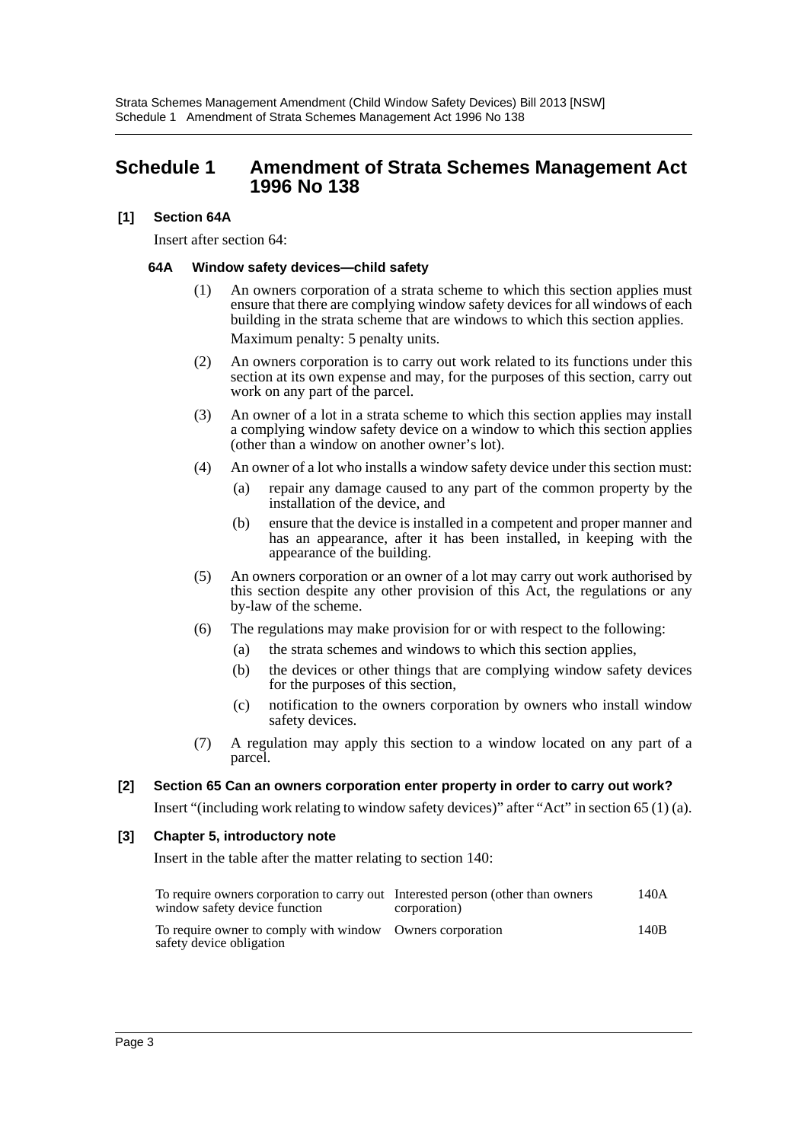## <span id="page-3-0"></span>**Schedule 1 Amendment of Strata Schemes Management Act 1996 No 138**

### **[1] Section 64A**

Insert after section 64:

#### **64A Window safety devices—child safety**

- (1) An owners corporation of a strata scheme to which this section applies must ensure that there are complying window safety devices for all windows of each building in the strata scheme that are windows to which this section applies. Maximum penalty: 5 penalty units.
- (2) An owners corporation is to carry out work related to its functions under this section at its own expense and may, for the purposes of this section, carry out work on any part of the parcel.
- (3) An owner of a lot in a strata scheme to which this section applies may install a complying window safety device on a window to which this section applies (other than a window on another owner's lot).
- (4) An owner of a lot who installs a window safety device under this section must:
	- (a) repair any damage caused to any part of the common property by the installation of the device, and
	- (b) ensure that the device is installed in a competent and proper manner and has an appearance, after it has been installed, in keeping with the appearance of the building.
- (5) An owners corporation or an owner of a lot may carry out work authorised by this section despite any other provision of this Act, the regulations or any by-law of the scheme.
- (6) The regulations may make provision for or with respect to the following:
	- (a) the strata schemes and windows to which this section applies,
	- (b) the devices or other things that are complying window safety devices for the purposes of this section,
	- (c) notification to the owners corporation by owners who install window safety devices.
- (7) A regulation may apply this section to a window located on any part of a parcel.

#### **[2] Section 65 Can an owners corporation enter property in order to carry out work?**

Insert "(including work relating to window safety devices)" after "Act" in section 65 (1) (a).

#### **[3] Chapter 5, introductory note**

Insert in the table after the matter relating to section 140:

| To require owners corporation to carry out Interested person (other than owners<br>window safety device function | corporation) | 140A |
|------------------------------------------------------------------------------------------------------------------|--------------|------|
| To require owner to comply with window Owners corporation<br>safety device obligation                            |              | 140B |